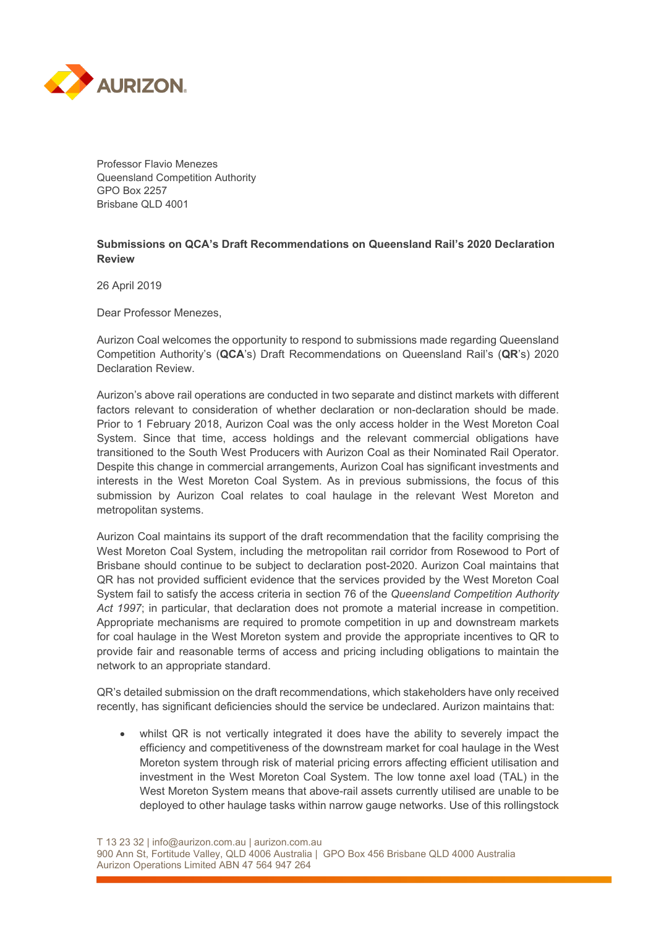

Professor Flavio Menezes Queensland Competition Authority GPO Box 2257 Brisbane QLD 4001

## **Submissions on QCA's Draft Recommendations on Queensland Rail's 2020 Declaration Review**

26 April 2019

Dear Professor Menezes,

Aurizon Coal welcomes the opportunity to respond to submissions made regarding Queensland Competition Authority's (**QCA**'s) Draft Recommendations on Queensland Rail's (**QR**'s) 2020 Declaration Review.

Aurizon's above rail operations are conducted in two separate and distinct markets with different factors relevant to consideration of whether declaration or non-declaration should be made. Prior to 1 February 2018, Aurizon Coal was the only access holder in the West Moreton Coal System. Since that time, access holdings and the relevant commercial obligations have transitioned to the South West Producers with Aurizon Coal as their Nominated Rail Operator. Despite this change in commercial arrangements, Aurizon Coal has significant investments and interests in the West Moreton Coal System. As in previous submissions, the focus of this submission by Aurizon Coal relates to coal haulage in the relevant West Moreton and metropolitan systems.

Aurizon Coal maintains its support of the draft recommendation that the facility comprising the West Moreton Coal System, including the metropolitan rail corridor from Rosewood to Port of Brisbane should continue to be subject to declaration post-2020. Aurizon Coal maintains that QR has not provided sufficient evidence that the services provided by the West Moreton Coal System fail to satisfy the access criteria in section 76 of the *Queensland Competition Authority Act 1997*; in particular, that declaration does not promote a material increase in competition. Appropriate mechanisms are required to promote competition in up and downstream markets for coal haulage in the West Moreton system and provide the appropriate incentives to QR to provide fair and reasonable terms of access and pricing including obligations to maintain the network to an appropriate standard.

QR's detailed submission on the draft recommendations, which stakeholders have only received recently, has significant deficiencies should the service be undeclared. Aurizon maintains that:

whilst QR is not vertically integrated it does have the ability to severely impact the efficiency and competitiveness of the downstream market for coal haulage in the West Moreton system through risk of material pricing errors affecting efficient utilisation and investment in the West Moreton Coal System. The low tonne axel load (TAL) in the West Moreton System means that above-rail assets currently utilised are unable to be deployed to other haulage tasks within narrow gauge networks. Use of this rollingstock